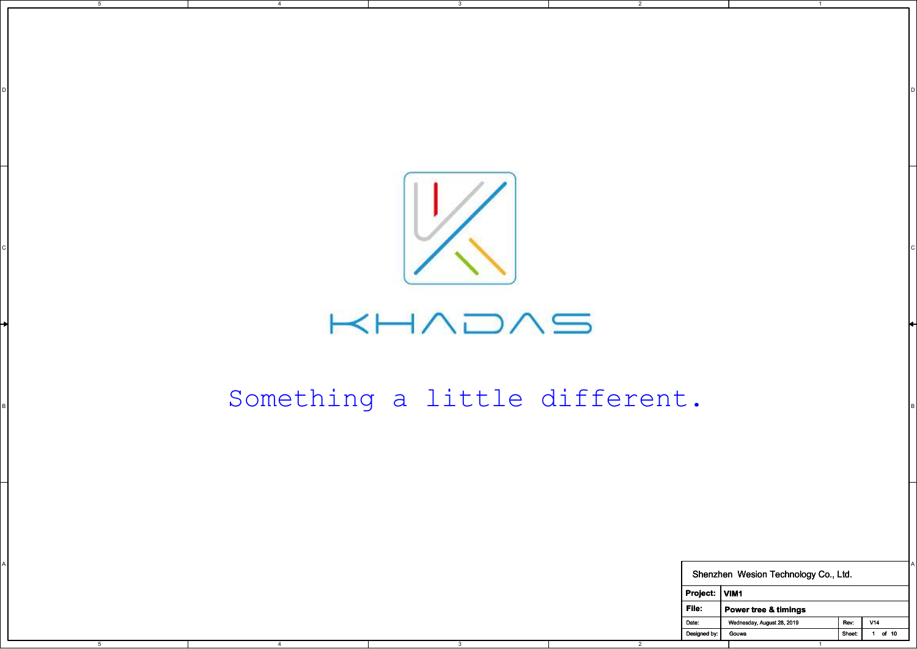

D I DIRECT DIRECT DIRECT DIRECT DIRECT DIRECT DIRECT DIRECT DIRECT DIRECT DIRECT DIRECT DIRECT DIRECT DIRECT D

2

5

4

## $H$  $\wedge$  $\supset$  $\wedge$  $\supset$

## Bomething a little different.

|      |      |                         | Something a little different. |                       |                                      |      |                       |
|------|------|-------------------------|-------------------------------|-----------------------|--------------------------------------|------|-----------------------|
|      |      |                         |                               |                       |                                      |      |                       |
|      |      |                         |                               |                       |                                      |      |                       |
|      |      |                         |                               |                       |                                      |      |                       |
|      |      |                         |                               |                       | Shenzhen Wesion Technology Co., Ltd. |      |                       |
|      |      |                         |                               | Project: VIM1         |                                      |      |                       |
|      |      |                         |                               | File:                 | Power tree & timings                 |      |                       |
|      |      |                         |                               | Date:<br>Designed by: | Wednesday, August 28, 2019<br>Gouwa  | Rev: | V14<br>Sheet: 1 of 10 |
| $-5$ | $-4$ | $\overline{\textbf{3}}$ | $\overline{2}$                |                       | $\overline{1}$                       |      |                       |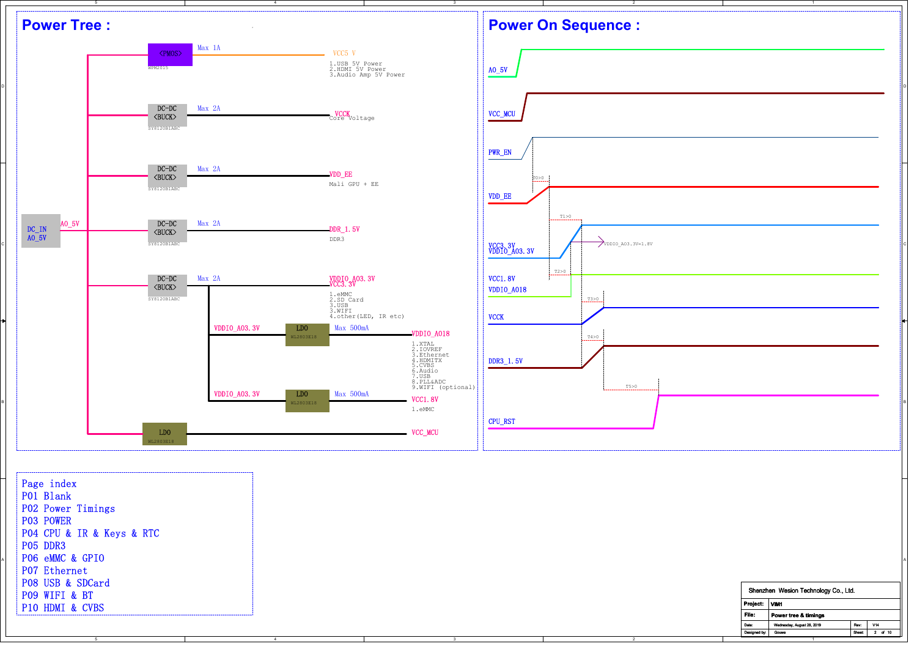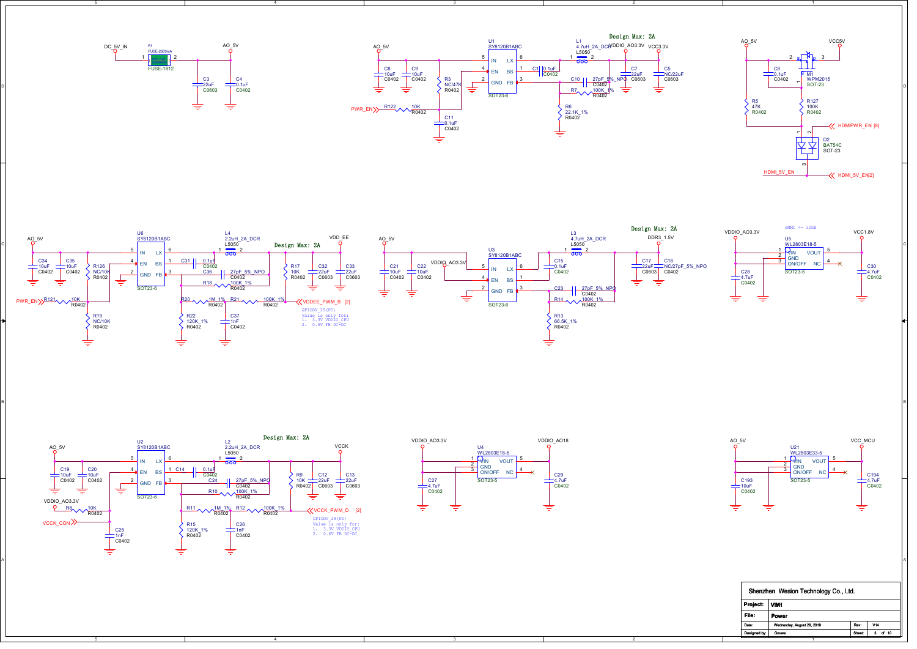

5

5



2

2



1



B I am a comparative contract that the contract of the contract of the contract of the contract of the contract of the contract of the contract of the contract of the contract of the contract of the contract of the contrac

3



4





| Shenzhen Wesion Technology Co., Ltd.              |  |
|---------------------------------------------------|--|
| Project:<br>VIM <sub>1</sub>                      |  |
| File:<br>Power                                    |  |
| V14<br>Date:<br>Wednesday, August 28, 2019<br>Rev |  |
| Designed by:<br>Sheet:<br>of 10<br>Gouwa<br>3.    |  |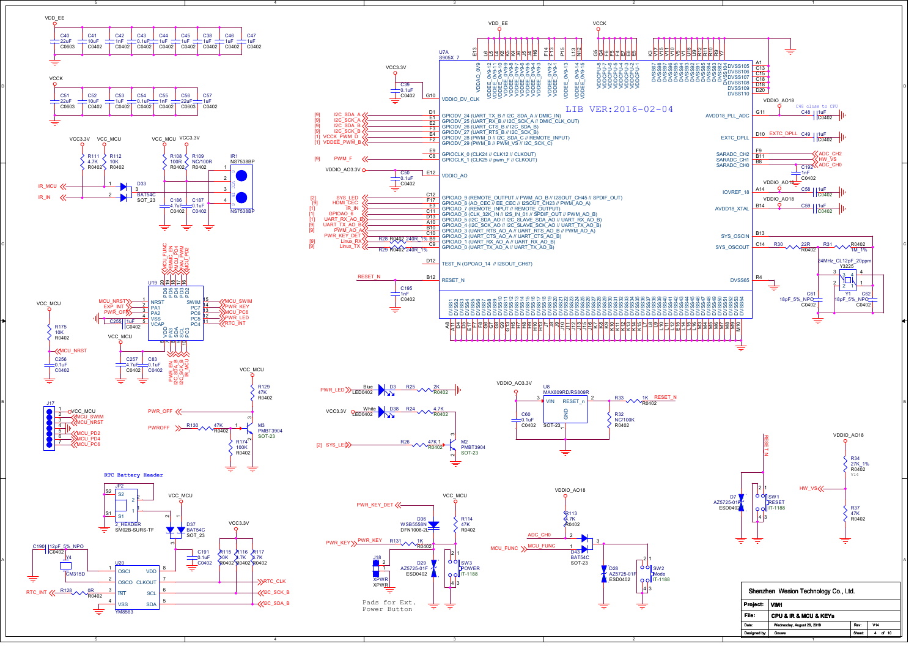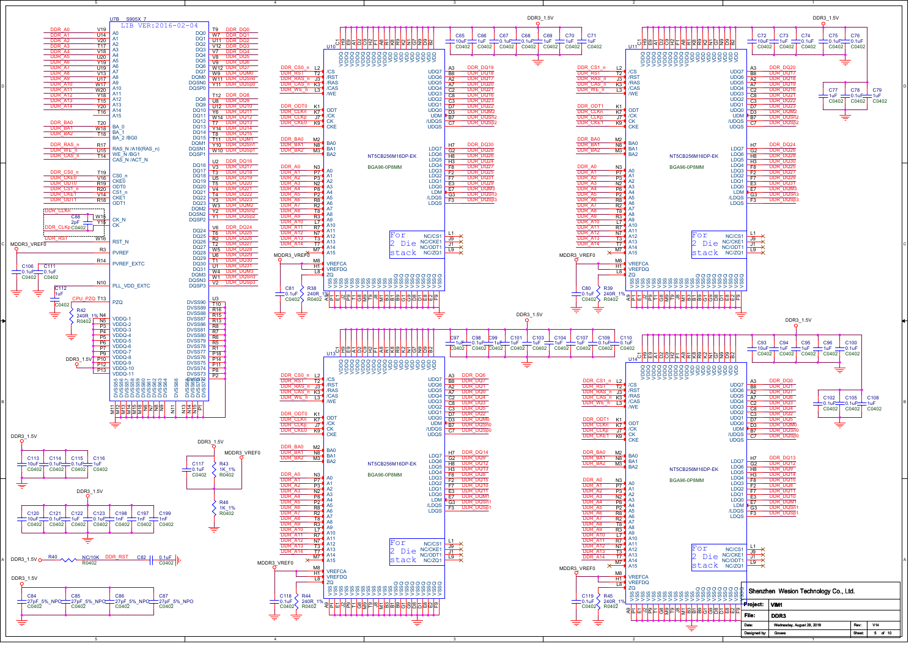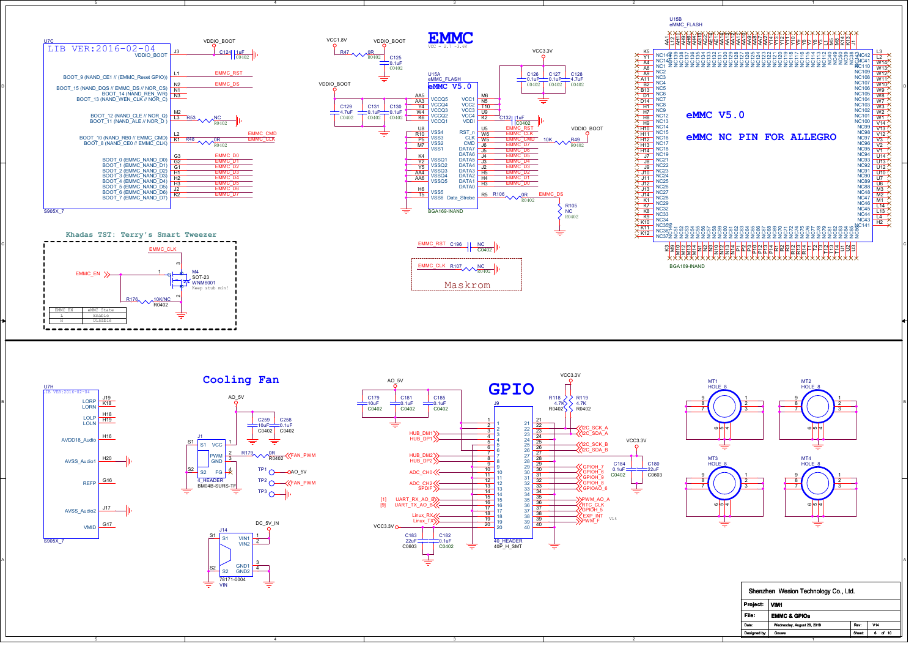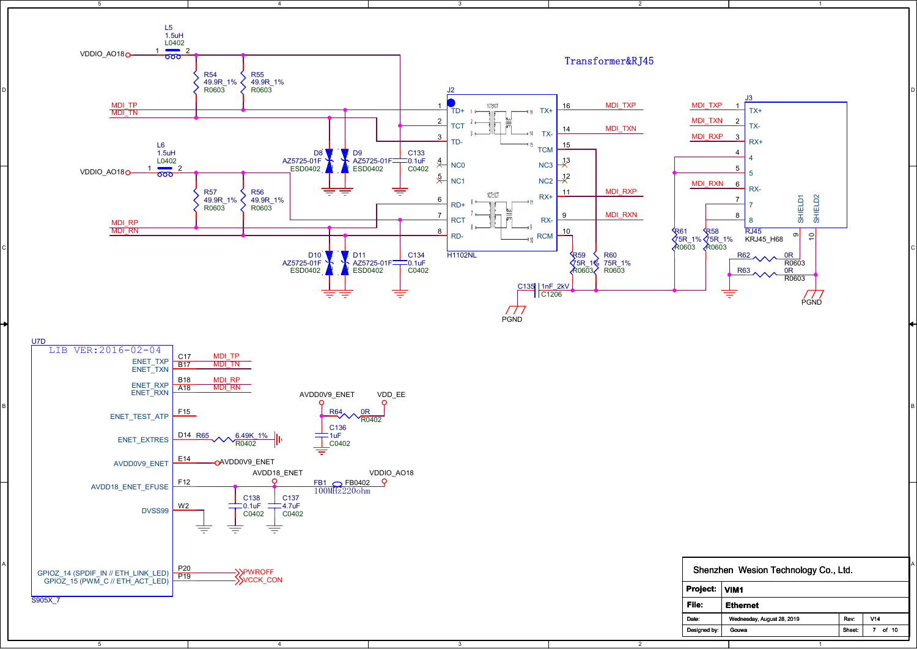

5

 $\overline{A}$ 

2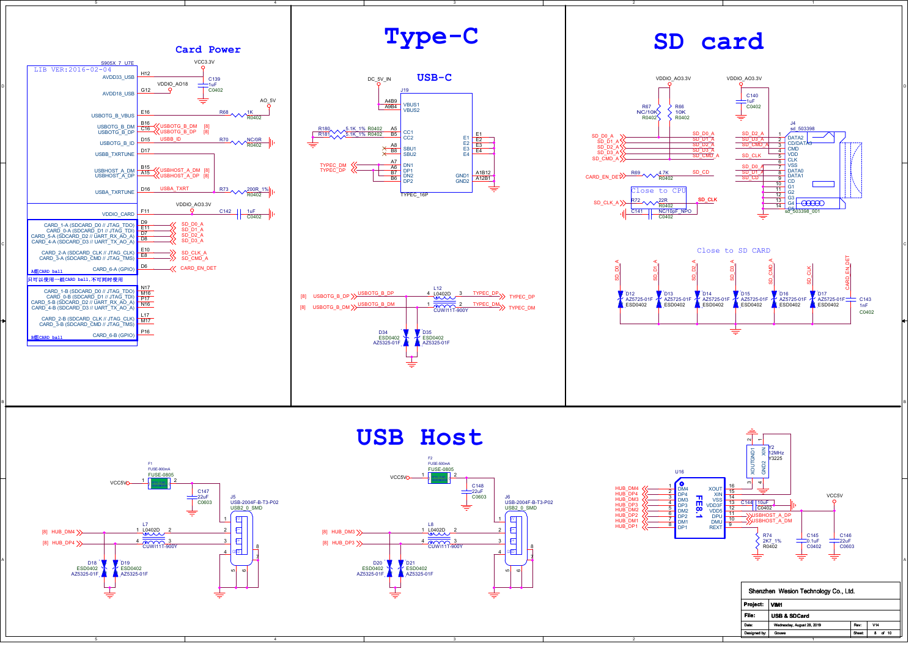



5



3



| Project:<br>VIM <sub>1</sub><br>File:<br><b>USB &amp; SDCard</b><br>V14<br>Date:<br>Wednesday, August 28, 2019<br>Rev<br>Designed by:<br>Sheet:<br>of 10<br>Gouwa<br>8 | Shenzhen Wesion Technology Co., Ltd. |  |  |  |  |  |
|------------------------------------------------------------------------------------------------------------------------------------------------------------------------|--------------------------------------|--|--|--|--|--|
|                                                                                                                                                                        |                                      |  |  |  |  |  |
|                                                                                                                                                                        |                                      |  |  |  |  |  |
|                                                                                                                                                                        |                                      |  |  |  |  |  |
|                                                                                                                                                                        |                                      |  |  |  |  |  |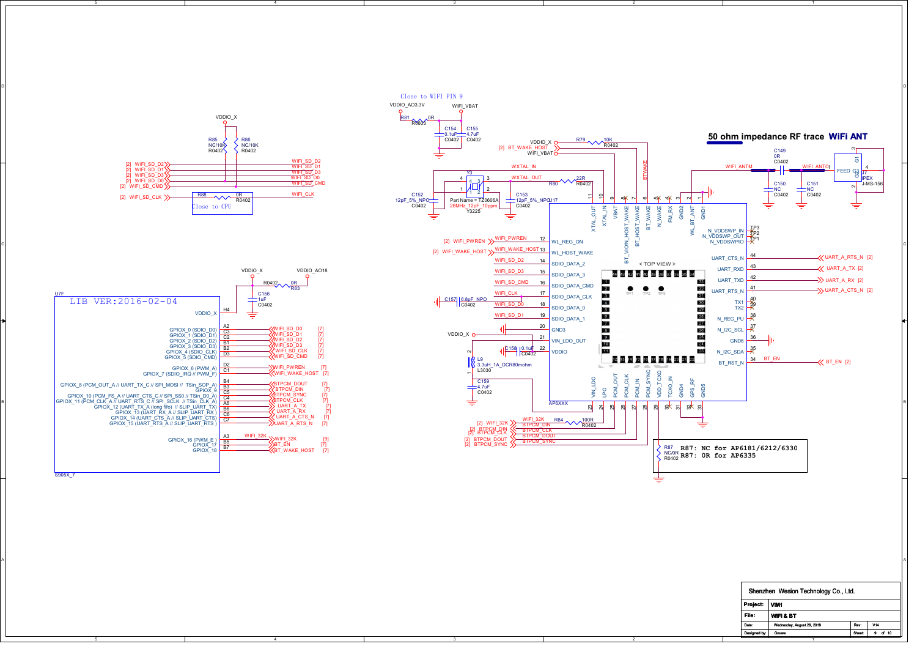

2

1

5